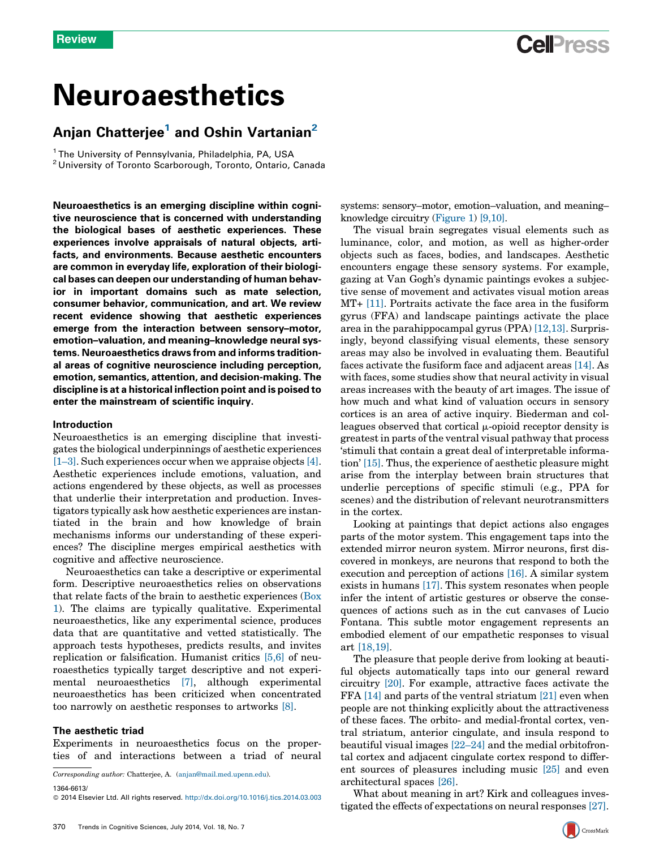# **Neuroaesthetics**

# Anjan Chatterjee<sup>1</sup> and Oshin Vartanian<sup>2</sup>

<sup>1</sup> The University of Pennsylvania, Philadelphia, PA, USA  $^2$  University of Toronto Scarborough, Toronto, Ontario, Canada

Neuroaesthetics is an emerging discipline within cognitive neuroscience that is concerned with understanding the biological bases of aesthetic experiences. These experiences involve appraisals of natural objects, artifacts, and environments. Because aesthetic encounters are common in everyday life, exploration of their biological bases can deepen our understanding of human behavior in important domains such as mate selection, consumer behavior, communication, and art. We review recent evidence showing that aesthetic experiences emerge from the interaction between sensory–motor, emotion–valuation, and meaning–knowledge neural systems. Neuroaesthetics draws from and informs traditional areas of cognitive neuroscience including perception, emotion, semantics, attention, and decision-making. The discipline is at a historical inflection point and is poised to enter the mainstream of scientific inquiry.

#### Introduction

Neuroaesthetics is an emerging discipline that investigates the biological underpinnings of aesthetic experiences [\[1–3\]](#page-4-0). Such experiences occur when we appraise objects [\[4\]](#page-4-0). Aesthetic experiences include emotions, valuation, and actions engendered by these objects, as well as processes that underlie their interpretation and production. Investigators typically ask how aesthetic experiences are instantiated in the brain and how knowledge of brain mechanisms informs our understanding of these experiences? The discipline merges empirical aesthetics with cognitive and affective neuroscience.

Neuroaesthetics can take a descriptive or experimental form. Descriptive neuroaesthetics relies on observations that relate facts of the brain to aesthetic experiences [\(Box](#page-1-0) [1\)](#page-1-0). The claims are typically qualitative. Experimental neuroaesthetics, like any experimental science, produces data that are quantitative and vetted statistically. The approach tests hypotheses, predicts results, and invites replication or falsification. Humanist critics [\[5,6\]](#page-4-0) of neuroaesthetics typically target descriptive and not experimental neuroaesthetics [\[7\],](#page-4-0) although experimental neuroaesthetics has been criticized when concentrated too narrowly on aesthetic responses to artworks [\[8\].](#page-4-0)

## The aesthetic triad

Experiments in neuroaesthetics focus on the properties of and interactions between a triad of neural

Corresponding author: Chatterjee, A. [\(anjan@mail.med.upenn.edu](mailto:anjan@mail.med.upenn.edu)).

1364-6613/

systems: sensory–motor, emotion–valuation, and meaning– knowledge circuitry [\(Figure](#page-1-0) 1) [\[9,10\]](#page-4-0).

The visual brain segregates visual elements such as luminance, color, and motion, as well as higher-order objects such as faces, bodies, and landscapes. Aesthetic encounters engage these sensory systems. For example, gazing at Van Gogh's dynamic paintings evokes a subjective sense of movement and activates visual motion areas MT+ [\[11\]](#page-4-0). Portraits activate the face area in the fusiform gyrus (FFA) and landscape paintings activate the place area in the parahippocampal gyrus (PPA) [\[12,13\]](#page-4-0). Surprisingly, beyond classifying visual elements, these sensory areas may also be involved in evaluating them. Beautiful faces activate the fusiform face and adjacent areas [\[14\].](#page-4-0) As with faces, some studies show that neural activity in visual areas increases with the beauty of art images. The issue of how much and what kind of valuation occurs in sensory cortices is an area of active inquiry. Biederman and colleagues observed that cortical  $\mu$ -opioid receptor density is greatest in parts of the ventral visual pathway that process 'stimuli that contain a great deal of interpretable information' [\[15\]](#page-4-0). Thus, the experience of aesthetic pleasure might arise from the interplay between brain structures that underlie perceptions of specific stimuli (e.g., PPA for scenes) and the distribution of relevant neurotransmitters in the cortex.

Looking at paintings that depict actions also engages parts of the motor system. This engagement taps into the extended mirror neuron system. Mirror neurons, first discovered in monkeys, are neurons that respond to both the execution and perception of actions [\[16\].](#page-4-0) A similar system exists in humans [\[17\].](#page-4-0) This system resonates when people infer the intent of artistic gestures or observe the consequences of actions such as in the cut canvases of Lucio Fontana. This subtle motor engagement represents an embodied element of our empathetic responses to visual art [\[18,19\]](#page-4-0).

The pleasure that people derive from looking at beautiful objects automatically taps into our general reward circuitry [\[20\]](#page-4-0). For example, attractive faces activate the FFA [\[14\]](#page-4-0) and parts of the ventral striatum [\[21\]](#page-4-0) even when people are not thinking explicitly about the attractiveness of these faces. The orbito- and medial-frontal cortex, ventral striatum, anterior cingulate, and insula respond to beautiful visual images [\[22–24\]](#page-4-0) and the medial orbitofrontal cortex and adjacent cingulate cortex respond to different sources of pleasures including music [\[25\]](#page-4-0) and even architectural spaces [\[26\].](#page-4-0)

What about meaning in art? Kirk and colleagues investigated the effects of expectations on neural responses [\[27\]](#page-4-0).

<sup>© 2014</sup> Elsevier Ltd. All rights reserved. <http://dx.doi.org/10.1016/j.tics.2014.03.003>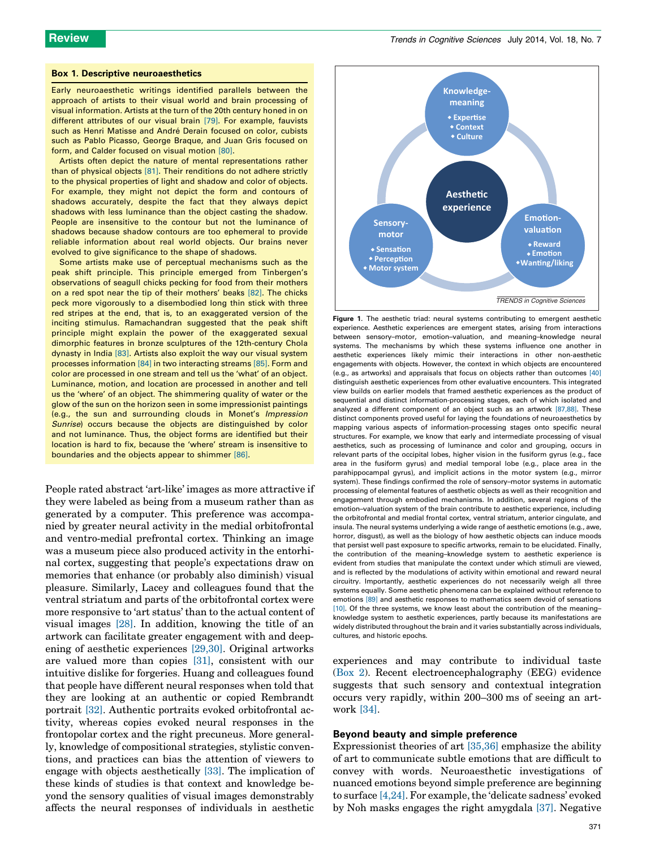#### <span id="page-1-0"></span>Box 1. Descriptive neuroaesthetics

Early neuroaesthetic writings identified parallels between the approach of artists to their visual world and brain processing of visual information. Artists at the turn of the 20th century honed in on different attributes of our visual brain [\[79\].](#page-5-0) For example, fauvists such as Henri Matisse and André Derain focused on color, cubists such as Pablo Picasso, George Braque, and Juan Gris focused on form, and Calder focused on visual motion [\[80\].](#page-5-0)

Artists often depict the nature of mental representations rather than of physical objects [\[81\]](#page-5-0). Their renditions do not adhere strictly to the physical properties of light and shadow and color of objects. For example, they might not depict the form and contours of shadows accurately, despite the fact that they always depict shadows with less luminance than the object casting the shadow. People are insensitive to the contour but not the luminance of shadows because shadow contours are too ephemeral to provide reliable information about real world objects. Our brains never evolved to give significance to the shape of shadows.

Some artists make use of perceptual mechanisms such as the peak shift principle. This principle emerged from Tinbergen's observations of seagull chicks pecking for food from their mothers on a red spot near the tip of their mothers' beaks [\[82\]](#page-5-0). The chicks peck more vigorously to a disembodied long thin stick with three red stripes at the end, that is, to an exaggerated version of the inciting stimulus. Ramachandran suggested that the peak shift principle might explain the power of the exaggerated sexual dimorphic features in bronze sculptures of the 12th-century Chola dynasty in India [\[83\].](#page-5-0) Artists also exploit the way our visual system processes information [\[84\]](#page-5-0) in two interacting streams [\[85\]](#page-5-0). Form and color are processed in one stream and tell us the 'what' of an object. Luminance, motion, and location are processed in another and tell us the 'where' of an object. The shimmering quality of water or the glow of the sun on the horizon seen in some impressionist paintings (e.g., the sun and surrounding clouds in Monet's Impression Sunrise) occurs because the objects are distinguished by color and not luminance. Thus, the object forms are identified but their location is hard to fix, because the 'where' stream is insensitive to boundaries and the objects appear to shimmer [\[86\].](#page-5-0)

People rated abstract 'art-like' images as more attractive if they were labeled as being from a museum rather than as generated by a computer. This preference was accompanied by greater neural activity in the medial orbitofrontal and ventro-medial prefrontal cortex. Thinking an image was a museum piece also produced activity in the entorhinal cortex, suggesting that people's expectations draw on memories that enhance (or probably also diminish) visual pleasure. Similarly, Lacey and colleagues found that the ventral striatum and parts of the orbitofrontal cortex were more responsive to 'art status' than to the actual content of visual images [\[28\].](#page-4-0) In addition, knowing the title of an artwork can facilitate greater engagement with and deepening of aesthetic experiences [\[29,30\]](#page-4-0). Original artworks are valued more than copies [\[31\]](#page-4-0), consistent with our intuitive dislike for forgeries. Huang and colleagues found that people have different neural responses when told that they are looking at an authentic or copied Rembrandt portrait [\[32\]](#page-4-0). Authentic portraits evoked orbitofrontal activity, whereas copies evoked neural responses in the frontopolar cortex and the right precuneus. More generally, knowledge of compositional strategies, stylistic conventions, and practices can bias the attention of viewers to engage with objects aesthetically [\[33\]](#page-4-0). The implication of these kinds of studies is that context and knowledge beyond the sensory qualities of visual images demonstrably affects the neural responses of individuals in aesthetic



Figure 1. The aesthetic triad: neural systems contributing to emergent aesthetic experience. Aesthetic experiences are emergent states, arising from interactions between sensory–motor, emotion–valuation, and meaning–knowledge neural systems. The mechanisms by which these systems influence one another in aesthetic experiences likely mimic their interactions in other non-aesthetic engagements with objects. However, the context in which objects are encountered (e.g., as artworks) and appraisals that focus on objects rather than outcomes [\[40\]](#page-5-0) distinguish aesthetic experiences from other evaluative encounters. This integrated view builds on earlier models that framed aesthetic experiences as the product of sequential and distinct information-processing stages, each of which isolated and analyzed a different component of an object such as an artwork [\[87,88\]](#page-5-0). These distinct components proved useful for laying the foundations of neuroaesthetics by mapping various aspects of information-processing stages onto specific neural structures. For example, we know that early and intermediate processing of visual aesthetics, such as processing of luminance and color and grouping, occurs in relevant parts of the occipital lobes, higher vision in the fusiform gyrus (e.g., face area in the fusiform gyrus) and medial temporal lobe (e.g., place area in the parahippocampal gyrus), and implicit actions in the motor system (e.g., mirror system). These findings confirmed the role of sensory–motor systems in automatic processing of elemental features of aesthetic objects as well as their recognition and engagement through embodied mechanisms. In addition, several regions of the emotion–valuation system of the brain contribute to aesthetic experience, including the orbitofrontal and medial frontal cortex, ventral striatum, anterior cingulate, and insula. The neural systems underlying a wide range of aesthetic emotions (e.g., awe, horror, disgust), as well as the biology of how aesthetic objects can induce moods that persist well past exposure to specific artworks, remain to be elucidated. Finally, the contribution of the meaning–knowledge system to aesthetic experience is evident from studies that manipulate the context under which stimuli are viewed, and is reflected by the modulations of activity within emotional and reward neural circuitry. Importantly, aesthetic experiences do not necessarily weigh all three systems equally. Some aesthetic phenomena can be explained without reference to emotions [\[89\]](#page-5-0) and aesthetic responses to mathematics seem devoid of sensations [\[10\].](#page-4-0) Of the three systems, we know least about the contribution of the meaning– knowledge system to aesthetic experiences, partly because its manifestations are widely distributed throughout the brain and it varies substantially across individuals, cultures, and historic epochs.

experiences and may contribute to individual taste ([Box](#page-2-0) 2). Recent electroencephalography (EEG) evidence suggests that such sensory and contextual integration occurs very rapidly, within 200–300 ms of seeing an artwork [\[34\].](#page-4-0)

# Beyond beauty and simple preference

Expressionist theories of art [\[35,36\]](#page-4-0) emphasize the ability of art to communicate subtle emotions that are difficult to convey with words. Neuroaesthetic investigations of nuanced emotions beyond simple preference are beginning to surface  $[4,24]$ . For example, the 'delicate sadness' evoked by Noh masks engages the right amygdala [\[37\]](#page-5-0). Negative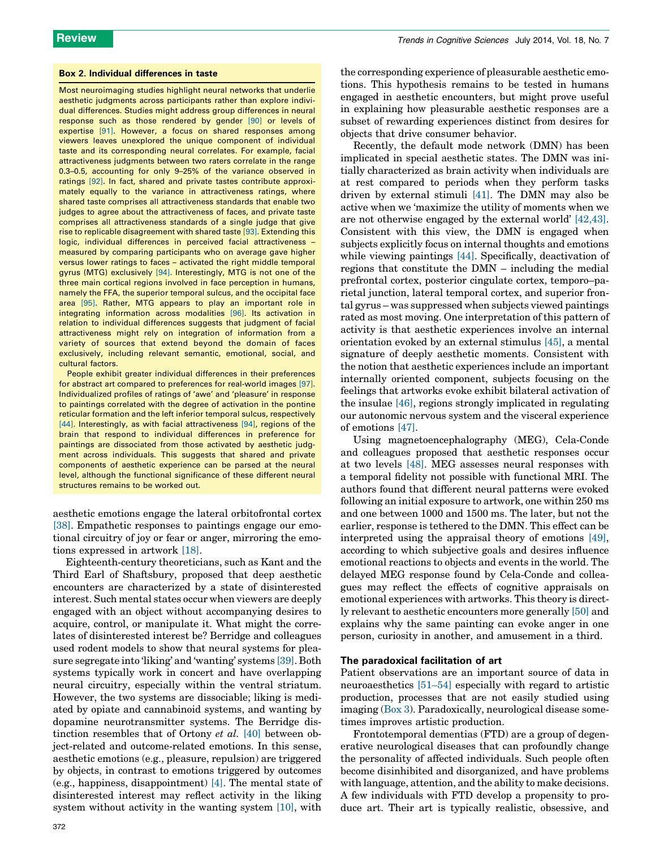#### <span id="page-2-0"></span>Box 2. Individual differences in taste

Most neuroimaging studies highlight neural networks that underlie aesthetic judgments across participants rather than explore individual differences. Studies might address group differences in neural response such as those rendered by gender [\[90\]](#page-5-0) or levels of expertise [\[91\]](#page-5-0). However, a focus on shared responses among viewers leaves unexplored the unique component of individual taste and its corresponding neural correlates. For example, facial attractiveness judgments between two raters correlate in the range 0.3–0.5, accounting for only 9–25% of the variance observed in ratings [\[92\]](#page-5-0). In fact, shared and private tastes contribute approximately equally to the variance in attractiveness ratings, where shared taste comprises all attractiveness standards that enable two judges to agree about the attractiveness of faces, and private taste comprises all attractiveness standards of a single judge that give rise to replicable disagreement with shared taste [\[93\].](#page-5-0) Extending this logic, individual differences in perceived facial attractiveness – measured by comparing participants who on average gave higher versus lower ratings to faces – activated the right middle temporal gyrus (MTG) exclusively [\[94\]](#page-5-0). Interestingly, MTG is not one of the three main cortical regions involved in face perception in humans, namely the FFA, the superior temporal sulcus, and the occipital face area [\[95\]](#page-5-0). Rather, MTG appears to play an important role in integrating information across modalities [\[96\].](#page-5-0) Its activation in relation to individual differences suggests that judgment of facial attractiveness might rely on integration of information from a variety of sources that extend beyond the domain of faces exclusively, including relevant semantic, emotional, social, and cultural factors.

People exhibit greater individual differences in their preferences for abstract art compared to preferences for real-world images [\[97\].](#page-5-0) Individualized profiles of ratings of 'awe' and 'pleasure' in response to paintings correlated with the degree of activation in the pontine reticular formation and the left inferior temporal sulcus, respectively [\[44\].](#page-5-0) Interestingly, as with facial attractiveness [\[94\],](#page-5-0) regions of the brain that respond to individual differences in preference for paintings are dissociated from those activated by aesthetic judgment across individuals. This suggests that shared and private components of aesthetic experience can be parsed at the neural level, although the functional significance of these different neural structures remains to be worked out.

aesthetic emotions engage the lateral orbitofrontal cortex [\[38\]](#page-5-0). Empathetic responses to paintings engage our emotional circuitry of joy or fear or anger, mirroring the emotions expressed in artwork [\[18\]](#page-4-0).

Eighteenth-century theoreticians, such as Kant and the Third Earl of Shaftsbury, proposed that deep aesthetic encounters are characterized by a state of disinterested interest. Such mental states occur when viewers are deeply engaged with an object without accompanying desires to acquire, control, or manipulate it. What might the correlates of disinterested interest be? Berridge and colleagues used rodent models to show that neural systems for pleasure segregate into 'liking' and 'wanting' systems [\[39\]](#page-5-0). Both systems typically work in concert and have overlapping neural circuitry, especially within the ventral striatum. However, the two systems are dissociable; liking is mediated by opiate and cannabinoid systems, and wanting by dopamine neurotransmitter systems. The Berridge distinction resembles that of Ortony et al. [\[40\]](#page-5-0) between object-related and outcome-related emotions. In this sense, aesthetic emotions (e.g., pleasure, repulsion) are triggered by objects, in contrast to emotions triggered by outcomes (e.g., happiness, disappointment) [\[4\].](#page-4-0) The mental state of disinterested interest may reflect activity in the liking system without activity in the wanting system [\[10\]](#page-4-0), with the corresponding experience of pleasurable aesthetic emotions. This hypothesis remains to be tested in humans engaged in aesthetic encounters, but might prove useful in explaining how pleasurable aesthetic responses are a subset of rewarding experiences distinct from desires for objects that drive consumer behavior.

Recently, the default mode network (DMN) has been implicated in special aesthetic states. The DMN was initially characterized as brain activity when individuals are at rest compared to periods when they perform tasks driven by external stimuli [\[41\]](#page-5-0). The DMN may also be active when we 'maximize the utility of moments when we are not otherwise engaged by the external world' [\[42,43\]](#page-5-0). Consistent with this view, the DMN is engaged when subjects explicitly focus on internal thoughts and emotions while viewing paintings [\[44\].](#page-5-0) Specifically, deactivation of regions that constitute the DMN – including the medial prefrontal cortex, posterior cingulate cortex, temporo–parietal junction, lateral temporal cortex, and superior frontal gyrus – was suppressed when subjects viewed paintings rated as most moving. One interpretation of this pattern of activity is that aesthetic experiences involve an internal orientation evoked by an external stimulus [\[45\],](#page-5-0) a mental signature of deeply aesthetic moments. Consistent with the notion that aesthetic experiences include an important internally oriented component, subjects focusing on the feelings that artworks evoke exhibit bilateral activation of the insulae [\[46\]](#page-5-0), regions strongly implicated in regulating our autonomic nervous system and the visceral experience of emotions [\[47\]](#page-5-0).

Using magnetoencephalography (MEG), Cela-Conde and colleagues proposed that aesthetic responses occur at two levels [\[48\].](#page-5-0) MEG assesses neural responses with a temporal fidelity not possible with functional MRI. The authors found that different neural patterns were evoked following an initial exposure to artwork, one within 250 ms and one between 1000 and 1500 ms. The later, but not the earlier, response is tethered to the DMN. This effect can be interpreted using the appraisal theory of emotions [\[49\]](#page-5-0), according to which subjective goals and desires influence emotional reactions to objects and events in the world. The delayed MEG response found by Cela-Conde and colleagues may reflect the effects of cognitive appraisals on emotional experiences with artworks. This theory is directly relevant to aesthetic encounters more generally [\[50\]](#page-5-0) and explains why the same painting can evoke anger in one person, curiosity in another, and amusement in a third.

# The paradoxical facilitation of art

Patient observations are an important source of data in neuroaesthetics [\[51–54\]](#page-5-0) especially with regard to artistic production, processes that are not easily studied using imaging [\(Box](#page-3-0) 3). Paradoxically, neurological disease sometimes improves artistic production.

Frontotemporal dementias (FTD) are a group of degenerative neurological diseases that can profoundly change the personality of affected individuals. Such people often become disinhibited and disorganized, and have problems with language, attention, and the ability to make decisions. A few individuals with FTD develop a propensity to produce art. Their art is typically realistic, obsessive, and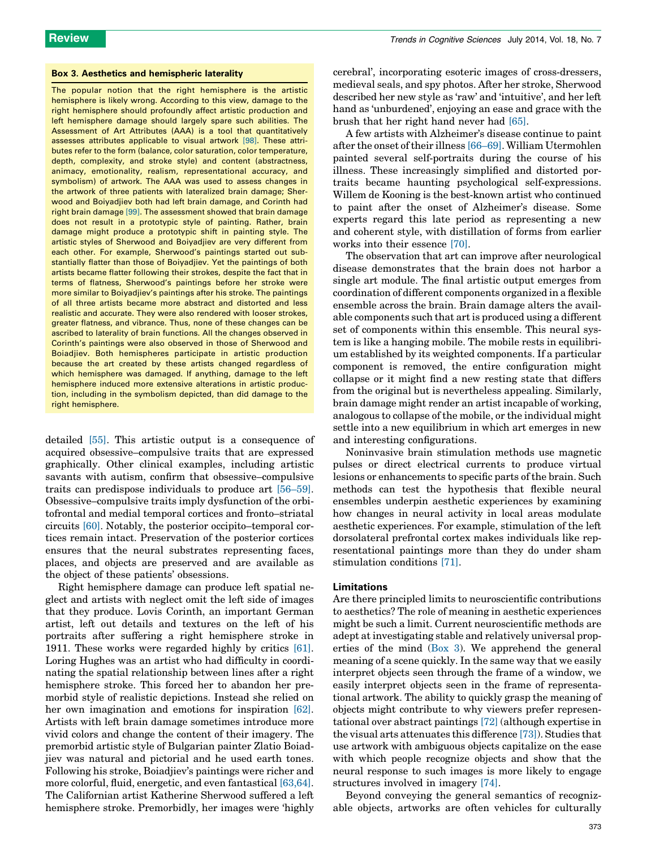## <span id="page-3-0"></span>Box 3. Aesthetics and hemispheric laterality

The popular notion that the right hemisphere is the artistic hemisphere is likely wrong. According to this view, damage to the right hemisphere should profoundly affect artistic production and left hemisphere damage should largely spare such abilities. The Assessment of Art Attributes (AAA) is a tool that quantitatively assesses attributes applicable to visual artwork [\[98\]](#page-5-0). These attributes refer to the form (balance, color saturation, color temperature, depth, complexity, and stroke style) and content (abstractness, animacy, emotionality, realism, representational accuracy, and symbolism) of artwork. The AAA was used to assess changes in the artwork of three patients with lateralized brain damage; Sherwood and Boiyadjiev both had left brain damage, and Corinth had right brain damage [\[99\].](#page-5-0) The assessment showed that brain damage does not result in a prototypic style of painting. Rather, brain damage might produce a prototypic shift in painting style. The artistic styles of Sherwood and Boiyadjiev are very different from each other. For example, Sherwood's paintings started out substantially flatter than those of Boiyadjiev. Yet the paintings of both artists became flatter following their strokes, despite the fact that in terms of flatness, Sherwood's paintings before her stroke were more similar to Boiyadjiev's paintings after his stroke. The paintings of all three artists became more abstract and distorted and less realistic and accurate. They were also rendered with looser strokes, greater flatness, and vibrance. Thus, none of these changes can be ascribed to laterality of brain functions. All the changes observed in Corinth's paintings were also observed in those of Sherwood and Boiadjiev. Both hemispheres participate in artistic production because the art created by these artists changed regardless of which hemisphere was damaged. If anything, damage to the left hemisphere induced more extensive alterations in artistic production, including in the symbolism depicted, than did damage to the right hemisphere.

detailed [\[55\].](#page-5-0) This artistic output is a consequence of acquired obsessive–compulsive traits that are expressed graphically. Other clinical examples, including artistic savants with autism, confirm that obsessive–compulsive traits can predispose individuals to produce art [\[56–59\]](#page-5-0). Obsessive–compulsive traits imply dysfunction of the orbitofrontal and medial temporal cortices and fronto–striatal circuits [\[60\].](#page-5-0) Notably, the posterior occipito–temporal cortices remain intact. Preservation of the posterior cortices ensures that the neural substrates representing faces, places, and objects are preserved and are available as the object of these patients' obsessions.

Right hemisphere damage can produce left spatial neglect and artists with neglect omit the left side of images that they produce. Lovis Corinth, an important German artist, left out details and textures on the left of his portraits after suffering a right hemisphere stroke in 1911. These works were regarded highly by critics [\[61\]](#page-5-0). Loring Hughes was an artist who had difficulty in coordinating the spatial relationship between lines after a right hemisphere stroke. This forced her to abandon her premorbid style of realistic depictions. Instead she relied on her own imagination and emotions for inspiration [\[62\]](#page-5-0). Artists with left brain damage sometimes introduce more vivid colors and change the content of their imagery. The premorbid artistic style of Bulgarian painter Zlatio Boiadjiev was natural and pictorial and he used earth tones. Following his stroke, Boiadjiev's paintings were richer and more colorful, fluid, energetic, and even fantastical [\[63,64\]](#page-5-0). The Californian artist Katherine Sherwood suffered a left hemisphere stroke. Premorbidly, her images were 'highly

cerebral', incorporating esoteric images of cross-dressers, medieval seals, and spy photos. After her stroke, Sherwood described her new style as 'raw' and 'intuitive', and her left hand as 'unburdened', enjoying an ease and grace with the brush that her right hand never had [\[65\]](#page-5-0).

A few artists with Alzheimer's disease continue to paint after the onset oftheir illness [\[66–69\]](#page-5-0). William Utermohlen painted several self-portraits during the course of his illness. These increasingly simplified and distorted portraits became haunting psychological self-expressions. Willem de Kooning is the best-known artist who continued to paint after the onset of Alzheimer's disease. Some experts regard this late period as representing a new and coherent style, with distillation of forms from earlier works into their essence [\[70\].](#page-5-0)

The observation that art can improve after neurological disease demonstrates that the brain does not harbor a single art module. The final artistic output emerges from coordination of different components organized in a flexible ensemble across the brain. Brain damage alters the available components such that art is produced using a different set of components within this ensemble. This neural system is like a hanging mobile. The mobile rests in equilibrium established by its weighted components. If a particular component is removed, the entire configuration might collapse or it might find a new resting state that differs from the original but is nevertheless appealing. Similarly, brain damage might render an artist incapable of working, analogous to collapse of the mobile, or the individual might settle into a new equilibrium in which art emerges in new and interesting configurations.

Noninvasive brain stimulation methods use magnetic pulses or direct electrical currents to produce virtual lesions or enhancements to specific parts of the brain. Such methods can test the hypothesis that flexible neural ensembles underpin aesthetic experiences by examining how changes in neural activity in local areas modulate aesthetic experiences. For example, stimulation of the left dorsolateral prefrontal cortex makes individuals like representational paintings more than they do under sham stimulation conditions [\[71\].](#page-5-0)

#### Limitations

Are there principled limits to neuroscientific contributions to aesthetics? The role of meaning in aesthetic experiences might be such a limit. Current neuroscientific methods are adept at investigating stable and relatively universal properties of the mind (Box 3). We apprehend the general meaning of a scene quickly. In the same way that we easily interpret objects seen through the frame of a window, we easily interpret objects seen in the frame of representational artwork. The ability to quickly grasp the meaning of objects might contribute to why viewers prefer representational over abstract paintings [\[72\]](#page-5-0) (although expertise in the visual arts attenuates this difference [\[73\]](#page-5-0)). Studies that use artwork with ambiguous objects capitalize on the ease with which people recognize objects and show that the neural response to such images is more likely to engage structures involved in imagery [\[74\].](#page-5-0)

Beyond conveying the general semantics of recognizable objects, artworks are often vehicles for culturally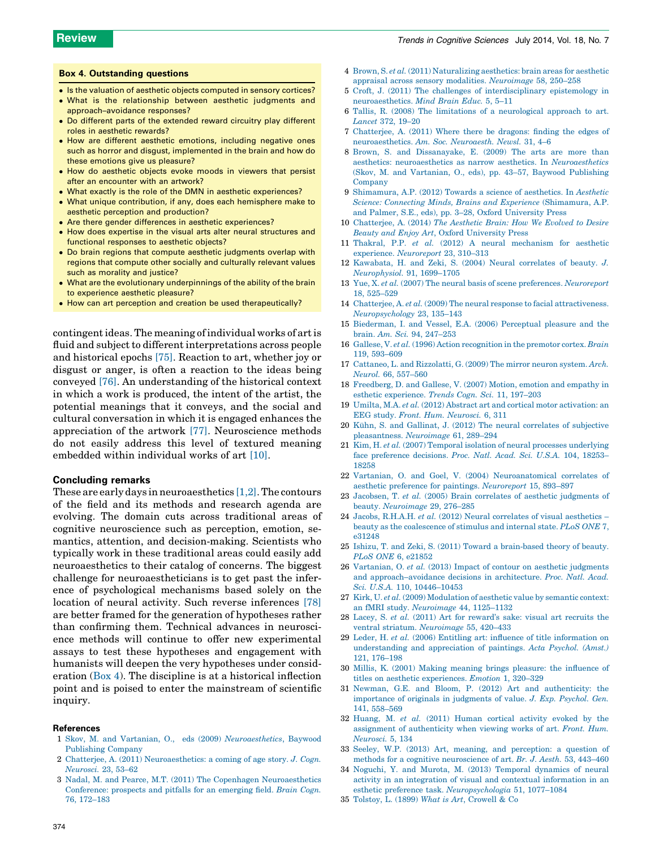## <span id="page-4-0"></span>Box 4. Outstanding questions

- $\bullet\,$  Is the valuation of aesthetic objects computed in sensory cortices?
- What is the relationship between aesthetic judgments and approach–avoidance responses?
- Do different parts of the extended reward circuitry play different roles in aesthetic rewards?
- $\bullet$  How are different aesthetic emotions, including negative ones such as horror and disgust, implemented in the brain and how do these emotions give us pleasure?
- $\bullet$  How do aesthetic objects evoke moods in viewers that persist after an encounter with an artwork?
- What exactly is the role of the DMN in aesthetic experiences?
- What unique contribution, if any, does each hemisphere make to aesthetic perception and production?
- Are there gender differences in aesthetic experiences?
- How does expertise in the visual arts alter neural structures and functional responses to aesthetic objects?
- Do brain regions that compute aesthetic judgments overlap with regions that compute other socially and culturally relevant values such as morality and justice?
- What are the evolutionary underpinnings of the ability of the brain to experience aesthetic pleasure?
- How can art perception and creation be used therapeutically?

contingentideas. The meaning of individual works of artis fluid and subject to different interpretations across people and historical epochs [\[75\].](#page-5-0) Reaction to art, whether joy or disgust or anger, is often a reaction to the ideas being conveyed [\[76\]](#page-5-0). An understanding of the historical context in which a work is produced, the intent of the artist, the potential meanings that it conveys, and the social and cultural conversation in which it is engaged enhances the appreciation of the artwork [\[77\]](#page-5-0). Neuroscience methods do not easily address this level of textured meaning embedded within individual works of art [10].

# Concluding remarks

These are early days in neuroaesthetics [1,2].The contours of the field and its methods and research agenda are evolving. The domain cuts across traditional areas of cognitive neuroscience such as perception, emotion, semantics, attention, and decision-making. Scientists who typically work in these traditional areas could easily add neuroaesthetics to their catalog of concerns. The biggest challenge for neuroaestheticians is to get past the inference of psychological mechanisms based solely on the location of neural activity. Such reverse inferences [\[78\]](#page-5-0) are better framed for the generation of hypotheses rather than confirming them. Technical advances in neuroscience methods will continue to offer new experimental assays to test these hypotheses and engagement with humanists will deepen the very hypotheses under consideration (Box 4). The discipline is at a historical inflection point and is poised to enter the mainstream of scientific inquiry.

#### References

- 1 Skov, M. and Vartanian, O., eds (2009) [Neuroaesthetics](http://refhub.elsevier.com/S1364-6613(14)00075-8/sbref0005), Baywood [Publishing](http://refhub.elsevier.com/S1364-6613(14)00075-8/sbref0005) Company
- 2 Chatterjee, A. (2011) [Neuroaesthetics:](http://refhub.elsevier.com/S1364-6613(14)00075-8/sbref0010) a coming of age story. J. Cogn. [Neurosci.](http://refhub.elsevier.com/S1364-6613(14)00075-8/sbref0010) 23, 53–62
- 3 Nadal, M. and Pearce, M.T. (2011) The Copenhagen [Neuroaesthetics](http://refhub.elsevier.com/S1364-6613(14)00075-8/sbref0015) [Conference:](http://refhub.elsevier.com/S1364-6613(14)00075-8/sbref0015) prospects and pitfalls for an emerging field. Brain Cogn. 76, [172–183](http://refhub.elsevier.com/S1364-6613(14)00075-8/sbref0015)
- 4 Brown, S. et al. (2011) [Naturalizing](http://refhub.elsevier.com/S1364-6613(14)00075-8/sbref0020) aesthetics: brain areas for aesthetic appraisal across sensory modalities. [Neuroimage](http://refhub.elsevier.com/S1364-6613(14)00075-8/sbref0020) 58, 250–258
- 5 Croft, J. (2011) The challenges of [interdisciplinary](http://refhub.elsevier.com/S1364-6613(14)00075-8/sbref0025) epistemology in [neuroaesthetics.](http://refhub.elsevier.com/S1364-6613(14)00075-8/sbref0025) Mind Brain Educ. 5, 5–11
- 6 Tallis, R. (2008) The limitations of a [neurological](http://refhub.elsevier.com/S1364-6613(14)00075-8/sbref0030) approach to art. [Lancet](http://refhub.elsevier.com/S1364-6613(14)00075-8/sbref0030) 372, 19–20
- 7 [Chatterjee,](http://refhub.elsevier.com/S1364-6613(14)00075-8/sbref0035) A. (2011) Where there be dragons: finding the edges of [neuroaesthetics.](http://refhub.elsevier.com/S1364-6613(14)00075-8/sbref0035) Am. Soc. Neuroaesth. Newsl. 31, 4–6
- 8 Brown, S. and [Dissanayake,](http://refhub.elsevier.com/S1364-6613(14)00075-8/sbref0040) E. (2009) The arts are more than aesthetics: [neuroaesthetics](http://refhub.elsevier.com/S1364-6613(14)00075-8/sbref0040) as narrow aesthetics. In Neuroaesthetics (Skov, M. and [Vartanian,](http://refhub.elsevier.com/S1364-6613(14)00075-8/sbref0040) O., eds), pp. 43–57, Baywood Publishing [Company](http://refhub.elsevier.com/S1364-6613(14)00075-8/sbref0040)
- 9 [Shimamura,](http://refhub.elsevier.com/S1364-6613(14)00075-8/sbref0045) A.P. (2012) Towards a science of aesthetics. In Aesthetic Science: Connecting Minds, Brains and Experience [\(Shimamura,](http://refhub.elsevier.com/S1364-6613(14)00075-8/sbref0045) A.P. and Palmer, S.E., eds), pp. 3–28, Oxford [University](http://refhub.elsevier.com/S1364-6613(14)00075-8/sbref0045) Press
- 10 [Chatterjee,](http://refhub.elsevier.com/S1364-6613(14)00075-8/sbref0050) A. (2014) The Aesthetic Brain: How We Evolved to Desire Beauty and Enjoy Art, Oxford [University](http://refhub.elsevier.com/S1364-6613(14)00075-8/sbref0050) Press
- 11 Thakral, P.P. et al. (2012) A neural [mechanism](http://refhub.elsevier.com/S1364-6613(14)00075-8/sbref0055) for aesthetic experience. [Neuroreport](http://refhub.elsevier.com/S1364-6613(14)00075-8/sbref0055) 23, 310–313
- 12 [Kawabata,](http://refhub.elsevier.com/S1364-6613(14)00075-8/sbref0060) H. and Zeki, S. (2004) Neural correlates of beauty. J. [Neurophysiol.](http://refhub.elsevier.com/S1364-6613(14)00075-8/sbref0060) 91, 1699–1705
- 13 Yue, X. et al. (2007) The neural basis of scene [preferences.](http://refhub.elsevier.com/S1364-6613(14)00075-8/sbref0065) Neuroreport 18, [525–529](http://refhub.elsevier.com/S1364-6613(14)00075-8/sbref0065)
- 14 Chatterjee, A. et al. (2009) The neural response to facial [attractiveness.](http://refhub.elsevier.com/S1364-6613(14)00075-8/sbref0070) [Neuropsychology](http://refhub.elsevier.com/S1364-6613(14)00075-8/sbref0070) 23, 135–143
- 15 [Biederman,](http://refhub.elsevier.com/S1364-6613(14)00075-8/sbref0075) I. and Vessel, E.A. (2006) Perceptual pleasure and the brain. Am. Sci. 94, [247–253](http://refhub.elsevier.com/S1364-6613(14)00075-8/sbref0075)
- 16 Gallese, V. et al. (1996) Action [recognition](http://refhub.elsevier.com/S1364-6613(14)00075-8/sbref0080) in the premotor cortex. Brain 119, [593–609](http://refhub.elsevier.com/S1364-6613(14)00075-8/sbref0080)
- 17 Cattaneo, L. and [Rizzolatti,](http://refhub.elsevier.com/S1364-6613(14)00075-8/sbref0085) G. (2009) The mirror neuron system. Arch. Neurol. 66, [557–560](http://refhub.elsevier.com/S1364-6613(14)00075-8/sbref0085)
- 18 [Freedberg,](http://refhub.elsevier.com/S1364-6613(14)00075-8/sbref0090) D. and Gallese, V. (2007) Motion, emotion and empathy in esthetic [experience.](http://refhub.elsevier.com/S1364-6613(14)00075-8/sbref0090) Trends Cogn. Sci. 11, 197–203
- 19 Umilta, M.A. et al. (2012) Abstract art and cortical motor [activation:](http://refhub.elsevier.com/S1364-6613(14)00075-8/sbref0095) an EEG study. Front. Hum. [Neurosci.](http://refhub.elsevier.com/S1364-6613(14)00075-8/sbref0095) 6, 311
- 20 Kühn, S. and Gallinat, J. (2012) The neural correlates of [subjective](http://refhub.elsevier.com/S1364-6613(14)00075-8/sbref0100) [pleasantness.](http://refhub.elsevier.com/S1364-6613(14)00075-8/sbref0100) Neuroimage 61, 289–294
- 21 Kim, H. et al. (2007) Temporal isolation of neural processes [underlying](http://refhub.elsevier.com/S1364-6613(14)00075-8/sbref0105) face [preference](http://refhub.elsevier.com/S1364-6613(14)00075-8/sbref0105) decisions. Proc. Natl. Acad. Sci. U.S.A. 104, 18253– [18258](http://refhub.elsevier.com/S1364-6613(14)00075-8/sbref0105)
- 22 Vartanian, O. and Goel, V. (2004) [Neuroanatomical](http://refhub.elsevier.com/S1364-6613(14)00075-8/sbref0110) correlates of aesthetic preference for paintings. [Neuroreport](http://refhub.elsevier.com/S1364-6613(14)00075-8/sbref0110) 15, 893–897
- 23 Jacobsen, T. et al. (2005) Brain correlates of aesthetic [judgments](http://refhub.elsevier.com/S1364-6613(14)00075-8/sbref0115) of beauty. [Neuroimage](http://refhub.elsevier.com/S1364-6613(14)00075-8/sbref0115) 29, 276–285
- 24 Jacobs, R.H.A.H. et al. (2012) Neural correlates of visual [aesthetics](http://refhub.elsevier.com/S1364-6613(14)00075-8/sbref0120) beauty as the [coalescence](http://refhub.elsevier.com/S1364-6613(14)00075-8/sbref0120) of stimulus and internal state. PLoS ONE 7, [e31248](http://refhub.elsevier.com/S1364-6613(14)00075-8/sbref0120)
- 25 Ishizu, T. and Zeki, S. (2011) Toward a [brain-based](http://refhub.elsevier.com/S1364-6613(14)00075-8/sbref0125) theory of beauty. PLoS ONE 6, [e21852](http://refhub.elsevier.com/S1364-6613(14)00075-8/sbref0125)
- 26 [Vartanian,](http://refhub.elsevier.com/S1364-6613(14)00075-8/sbref0130) O. et al. (2013) Impact of contour on aesthetic judgments and [approach–avoidance](http://refhub.elsevier.com/S1364-6613(14)00075-8/sbref0130) decisions in architecture. Proc. Natl. Acad. Sci. U.S.A. 110, [10446–10453](http://refhub.elsevier.com/S1364-6613(14)00075-8/sbref0130)
- 27 Kirk, U. et al. (2009) [Modulation](http://refhub.elsevier.com/S1364-6613(14)00075-8/sbref0135) of aesthetic value by semantic context: an fMRI study. [Neuroimage](http://refhub.elsevier.com/S1364-6613(14)00075-8/sbref0135) 44, 1125–1132
- 28 Lacey, S. et al. (2011) Art for [reward's](http://refhub.elsevier.com/S1364-6613(14)00075-8/sbref0140) sake: visual art recruits the ventral striatum. [Neuroimage](http://refhub.elsevier.com/S1364-6613(14)00075-8/sbref0140) 55, 420–433
- 29 Leder, H. et al. (2006) Entitling art: influence of title [information](http://refhub.elsevier.com/S1364-6613(14)00075-8/sbref0145) on [understanding](http://refhub.elsevier.com/S1364-6613(14)00075-8/sbref0145) and appreciation of paintings. Acta Psychol. (Amst.) 121, [176–198](http://refhub.elsevier.com/S1364-6613(14)00075-8/sbref0145)
- 30 Millis, K. (2001) Making meaning brings [pleasure:](http://refhub.elsevier.com/S1364-6613(14)00075-8/sbref0150) the influence of titles on aesthetic [experiences.](http://refhub.elsevier.com/S1364-6613(14)00075-8/sbref0150) Emotion 1, 320–329
- 31 Newman, G.E. and Bloom, P. (2012) Art and [authenticity:](http://refhub.elsevier.com/S1364-6613(14)00075-8/sbref0155) the [importance](http://refhub.elsevier.com/S1364-6613(14)00075-8/sbref0155) of originals in judgments of value. J. Exp. Psychol. Gen. 141, [558–569](http://refhub.elsevier.com/S1364-6613(14)00075-8/sbref0155)
- 32 Huang, M. et al. (2011) [Human](http://refhub.elsevier.com/S1364-6613(14)00075-8/sbref0160) cortical activity evoked by the assignment of [authenticity](http://refhub.elsevier.com/S1364-6613(14)00075-8/sbref0160) when viewing works of art. Front. Hum. [Neurosci.](http://refhub.elsevier.com/S1364-6613(14)00075-8/sbref0160) 5, 134
- 33 Seeley, W.P. (2013) Art, meaning, and [perception:](http://refhub.elsevier.com/S1364-6613(14)00075-8/sbref0165) a question of methods for a cognitive [neuroscience](http://refhub.elsevier.com/S1364-6613(14)00075-8/sbref0165) of art. Br. J. Aesth. 53, 443–460
- 34 Noguchi, Y. and Murota, M. (2013) [Temporal](http://refhub.elsevier.com/S1364-6613(14)00075-8/sbref0170) dynamics of neural activity in an integration of visual and contextual [information](http://refhub.elsevier.com/S1364-6613(14)00075-8/sbref0170) in an esthetic preference task. [Neuropsychologia](http://refhub.elsevier.com/S1364-6613(14)00075-8/sbref0170) 51, 1077–1084
- 35 [Tolstoy,](http://refhub.elsevier.com/S1364-6613(14)00075-8/sbref0175) L. (1899) What is Art, Crowell & Co